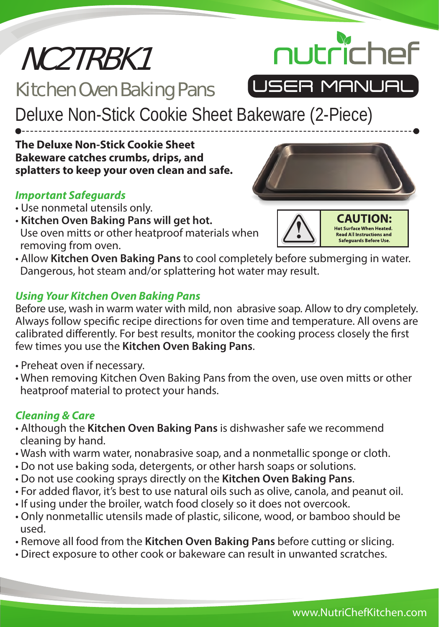# NC2TRBK1

# Kitchen Oven Baking Pans



Deluxe Non-Stick Cookie Sheet Bakeware (2-Piece)

**The Deluxe Non-Stick Cookie Sheet Bakeware catches crumbs, drips, and splatters to keep your oven clean and safe.**

## *Important Safeguards*

- Use nonmetal utensils only.
- **Kitchen Oven Baking Pans will get hot.**  Use oven mitts or other heatproof materials when removing from oven.





• Allow **Kitchen Oven Baking Pans** to cool completely before submerging in water. Dangerous, hot steam and/or splattering hot water may result.

### *Using Your Kitchen Oven Baking Pans*

Before use, wash in warm water with mild, non abrasive soap. Allow to dry completely. Always follow specific recipe directions for oven time and temperature. All ovens are calibrated differently. For best results, monitor the cooking process closely the first few times you use the **Kitchen Oven Baking Pans**.

- Preheat oven if necessary.
- When removing Kitchen Oven Baking Pans from the oven, use oven mitts or other heatproof material to protect your hands.

# *Cleaning & Care*

- Although the **Kitchen Oven Baking Pans** is dishwasher safe we recommend cleaning by hand.
- Wash with warm water, nonabrasive soap, and a nonmetallic sponge or cloth.
- Do not use baking soda, detergents, or other harsh soaps or solutions.
- Do not use cooking sprays directly on the **Kitchen Oven Baking Pans**.
- For added flavor, it's best to use natural oils such as olive, canola, and peanut oil.
- If using under the broiler, watch food closely so it does not overcook.
- Only nonmetallic utensils made of plastic, silicone, wood, or bamboo should be used.
- Remove all food from the **Kitchen Oven Baking Pans** before cutting or slicing.
- Direct exposure to other cook or bakeware can result in unwanted scratches.